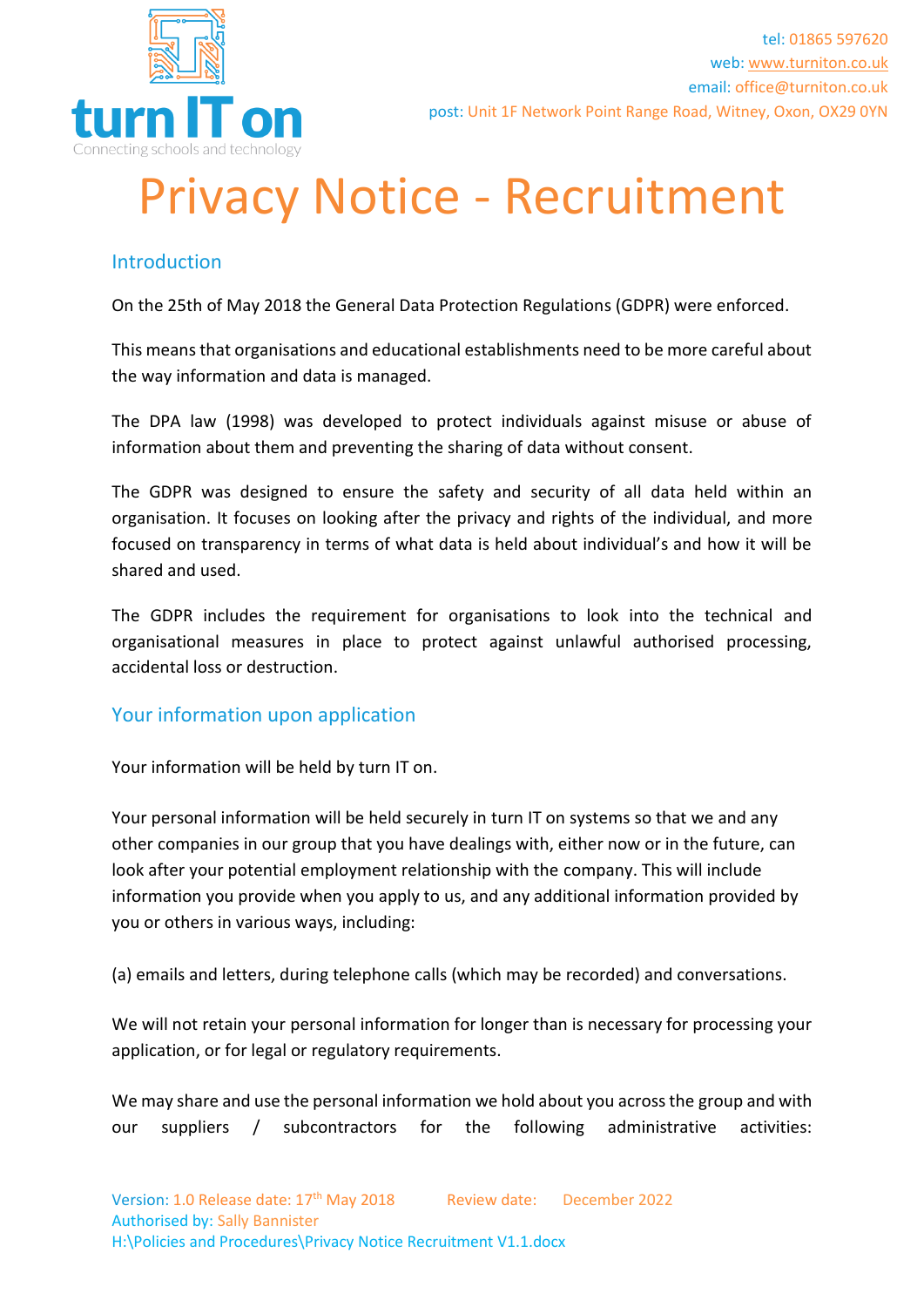

## Privacy Notice - Recruitment

## **Introduction**

On the 25th of May 2018 the General Data Protection Regulations (GDPR) were enforced.

This means that organisations and educational establishments need to be more careful about the way information and data is managed.

The DPA law (1998) was developed to protect individuals against misuse or abuse of information about them and preventing the sharing of data without consent.

The GDPR was designed to ensure the safety and security of all data held within an organisation. It focuses on looking after the privacy and rights of the individual, and more focused on transparency in terms of what data is held about individual's and how it will be shared and used.

The GDPR includes the requirement for organisations to look into the technical and organisational measures in place to protect against unlawful authorised processing, accidental loss or destruction.

## Your information upon application

Your information will be held by turn IT on.

Your personal information will be held securely in turn IT on systems so that we and any other companies in our group that you have dealings with, either now or in the future, can look after your potential employment relationship with the company. This will include information you provide when you apply to us, and any additional information provided by you or others in various ways, including:

(a) emails and letters, during telephone calls (which may be recorded) and conversations.

We will not retain your personal information for longer than is necessary for processing your application, or for legal or regulatory requirements.

We may share and use the personal information we hold about you across the group and with our suppliers / subcontractors for the following administrative activities: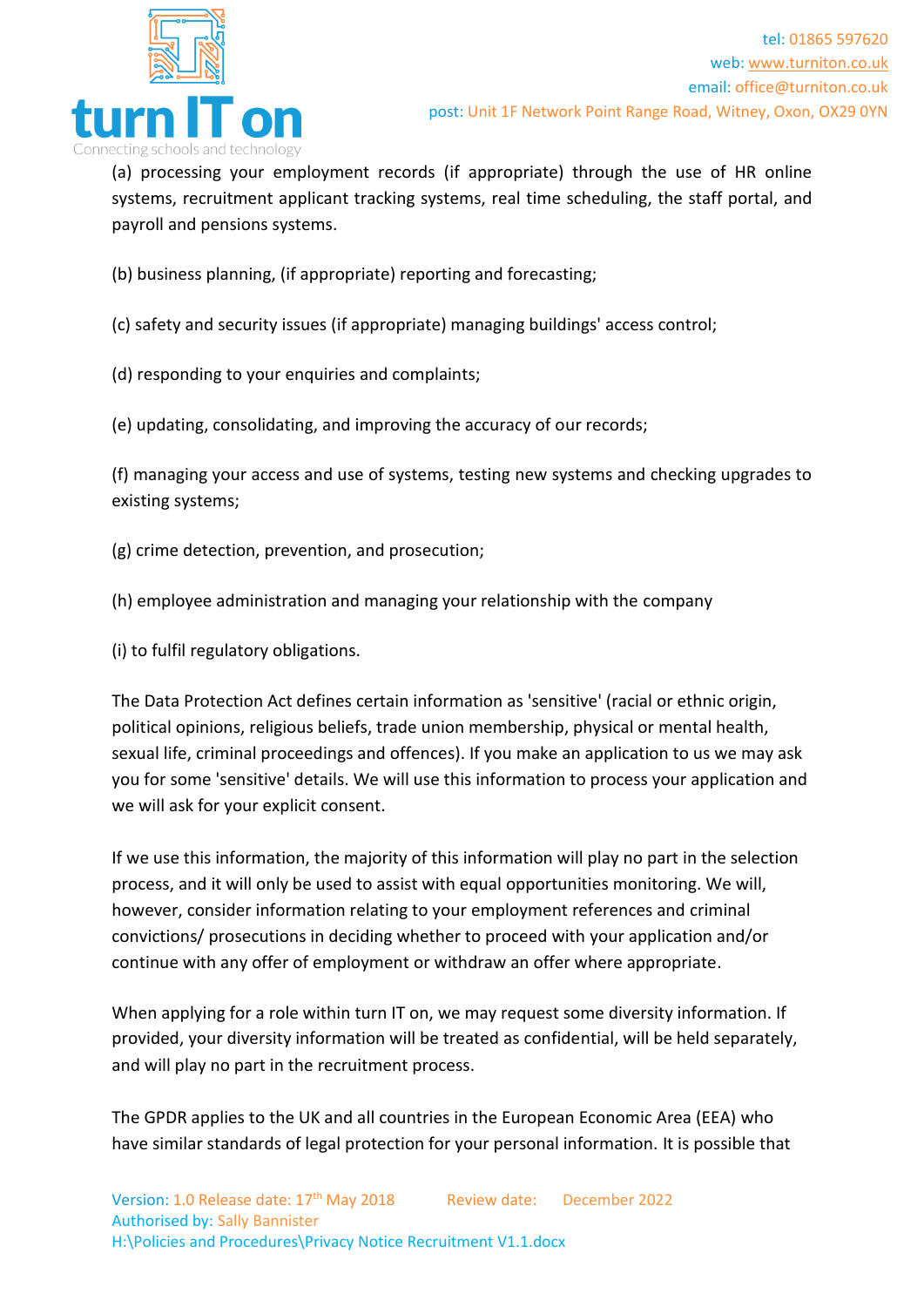

(a) processing your employment records (if appropriate) through the use of HR online systems, recruitment applicant tracking systems, real time scheduling, the staff portal, and payroll and pensions systems.

(b) business planning, (if appropriate) reporting and forecasting;

(c) safety and security issues (if appropriate) managing buildings' access control;

(d) responding to your enquiries and complaints;

(e) updating, consolidating, and improving the accuracy of our records;

(f) managing your access and use of systems, testing new systems and checking upgrades to existing systems;

(g) crime detection, prevention, and prosecution;

(h) employee administration and managing your relationship with the company

(i) to fulfil regulatory obligations.

The Data Protection Act defines certain information as 'sensitive' (racial or ethnic origin, political opinions, religious beliefs, trade union membership, physical or mental health, sexual life, criminal proceedings and offences). If you make an application to us we may ask you for some 'sensitive' details. We will use this information to process your application and we will ask for your explicit consent.

If we use this information, the majority of this information will play no part in the selection process, and it will only be used to assist with equal opportunities monitoring. We will, however, consider information relating to your employment references and criminal convictions/ prosecutions in deciding whether to proceed with your application and/or continue with any offer of employment or withdraw an offer where appropriate.

When applying for a role within turn IT on, we may request some diversity information. If provided, your diversity information will be treated as confidential, will be held separately, and will play no part in the recruitment process.

The GPDR applies to the UK and all countries in the European Economic Area (EEA) who have similar standards of legal protection for your personal information. It is possible that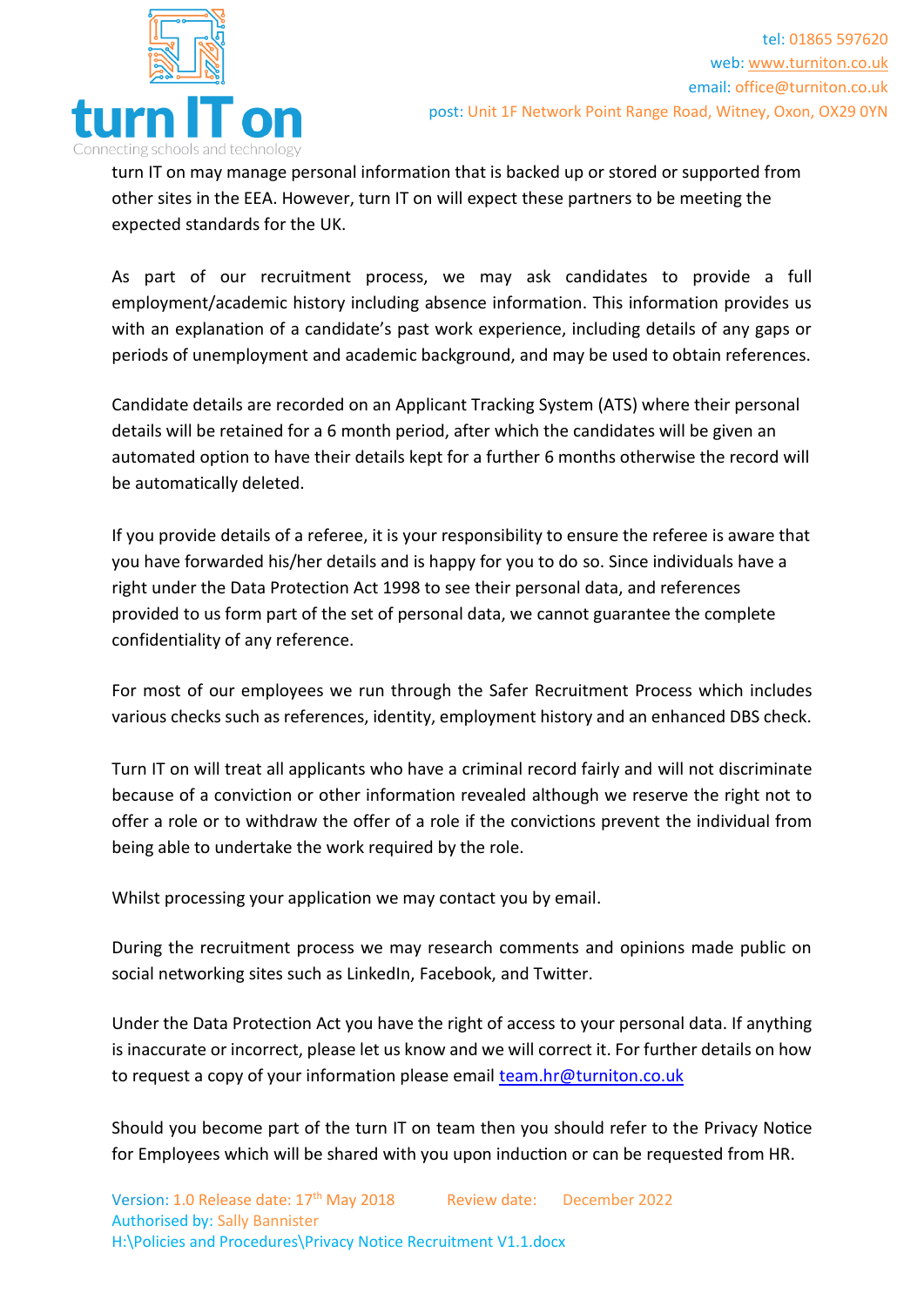

turn IT on may manage personal information that is backed up or stored or supported from other sites in the EEA. However, turn IT on will expect these partners to be meeting the expected standards for the UK.

As part of our recruitment process, we may ask candidates to provide a full employment/academic history including absence information. This information provides us with an explanation of a candidate's past work experience, including details of any gaps or periods of unemployment and academic background, and may be used to obtain references.

Candidate details are recorded on an Applicant Tracking System (ATS) where their personal details will be retained for a 6 month period, after which the candidates will be given an automated option to have their details kept for a further 6 months otherwise the record will be automatically deleted.

If you provide details of a referee, it is your responsibility to ensure the referee is aware that you have forwarded his/her details and is happy for you to do so. Since individuals have a right under the Data Protection Act 1998 to see their personal data, and references provided to us form part of the set of personal data, we cannot guarantee the complete confidentiality of any reference.

For most of our employees we run through the Safer Recruitment Process which includes various checks such as references, identity, employment history and an enhanced DBS check.

Turn IT on will treat all applicants who have a criminal record fairly and will not discriminate because of a conviction or other information revealed although we reserve the right not to offer a role or to withdraw the offer of a role if the convictions prevent the individual from being able to undertake the work required by the role.

Whilst processing your application we may contact you by email.

During the recruitment process we may research comments and opinions made public on social networking sites such as LinkedIn, Facebook, and Twitter.

Under the Data Protection Act you have the right of access to your personal data. If anything is inaccurate or incorrect, please let us know and we will correct it. For further details on how to request a copy of your information please email [team.hr@turniton.co.uk](mailto:team.hr@turniton.co.uk)

Should you become part of the turn IT on team then you should refer to the Privacy Notice for Employees which will be shared with you upon induction or can be requested from HR.